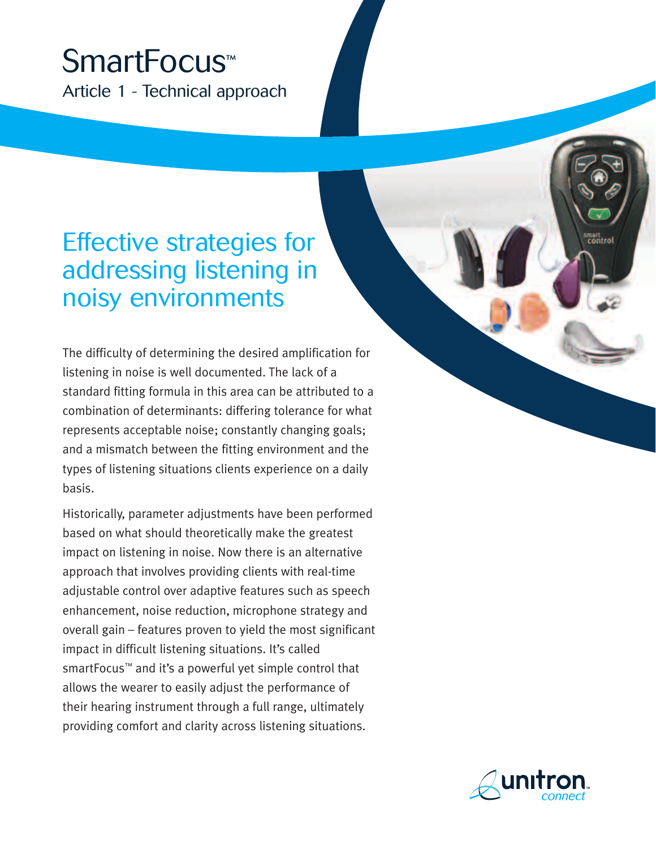# SmartFocus™ Article 1 - Technical approach

# Effective strategies for addressing listening in noisy environments

The difficulty of determining the desired amplification for listening in noise is well documented. The lack of a standard fitting formula in this area can be attributed to a combination of determinants: differing tolerance for what represents acceptable noise; constantly changing goals; and a mismatch between the fitting environment and the types of listening situations clients experience on a daily basis.

Historically, parameter adjustments have been performed based on what should theoretically make the greatest impact on listening in noise. Now there is an alternative approach that involves providing clients with real-time adjustable control over adaptive features such as speech enhancement, noise reduction, microphone strategy and overall gain – features proven to yield the most significant impact in difficult listening situations. It's called smartFocus™ and it's a powerful yet simple control that allows the wearer to easily adjust the performance of their hearing instrument through a full range, ultimately providing comfort and clarity across listening situations.



mart<br>control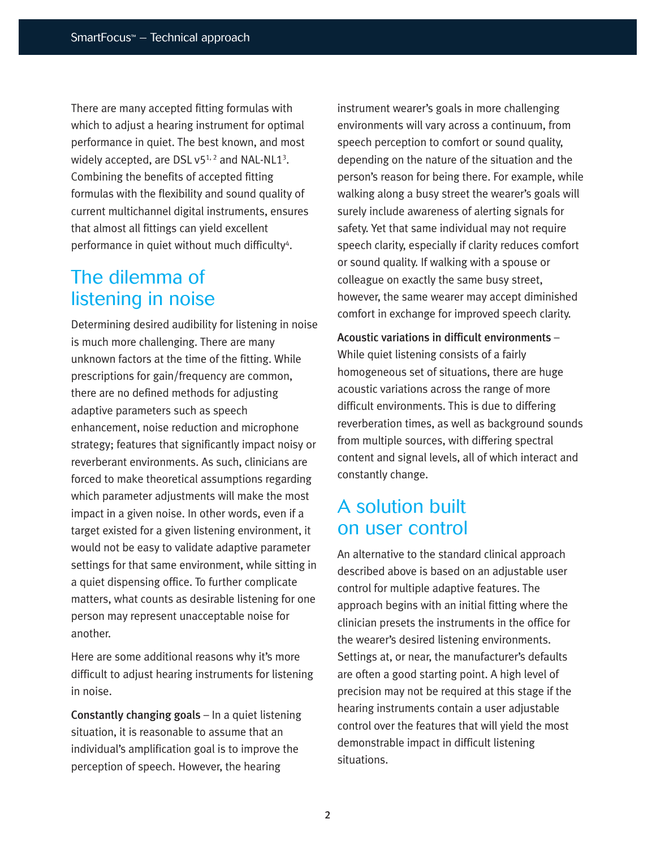There are many accepted fitting formulas with which to adjust a hearing instrument for optimal performance in quiet. The best known, and most widely accepted, are DSL v5<sup>1, 2</sup> and NAL-NL1<sup>3</sup>. Combining the benefits of accepted fitting formulas with the flexibility and sound quality of current multichannel digital instruments, ensures that almost all fittings can yield excellent performance in quiet without much difficulty<sup>4</sup>.

### The dilemma of listening in noise

Determining desired audibility for listening in noise is much more challenging. There are many unknown factors at the time of the fitting. While prescriptions for gain/frequency are common, there are no defined methods for adjusting adaptive parameters such as speech enhancement, noise reduction and microphone strategy; features that significantly impact noisy or reverberant environments. As such, clinicians are forced to make theoretical assumptions regarding which parameter adjustments will make the most impact in a given noise. In other words, even if a target existed for a given listening environment, it would not be easy to validate adaptive parameter settings for that same environment, while sitting in a quiet dispensing office. To further complicate matters, what counts as desirable listening for one person may represent unacceptable noise for another.

Here are some additional reasons why it's more difficult to adjust hearing instruments for listening in noise.

Constantly changing goals – In a quiet listening situation, it is reasonable to assume that an individual's amplification goal is to improve the perception of speech. However, the hearing

instrument wearer's goals in more challenging environments will vary across a continuum, from speech perception to comfort or sound quality, depending on the nature of the situation and the person's reason for being there. For example, while walking along a busy street the wearer's goals will surely include awareness of alerting signals for safety. Yet that same individual may not require speech clarity, especially if clarity reduces comfort or sound quality. If walking with a spouse or colleague on exactly the same busy street, however, the same wearer may accept diminished comfort in exchange for improved speech clarity.

Acoustic variations in difficult environments – While quiet listening consists of a fairly homogeneous set of situations, there are huge acoustic variations across the range of more difficult environments. This is due to differing reverberation times, as well as background sounds from multiple sources, with differing spectral content and signal levels, all of which interact and constantly change.

### A solution built on user control

An alternative to the standard clinical approach described above is based on an adjustable user control for multiple adaptive features. The approach begins with an initial fitting where the clinician presets the instruments in the office for the wearer's desired listening environments. Settings at, or near, the manufacturer's defaults are often a good starting point. A high level of precision may not be required at this stage if the hearing instruments contain a user adjustable control over the features that will yield the most demonstrable impact in difficult listening situations.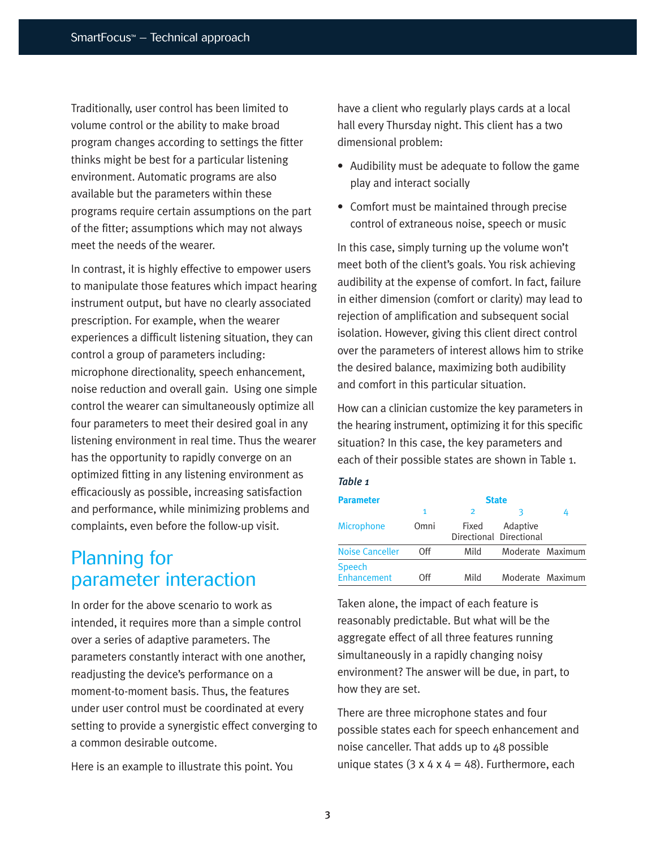Traditionally, user control has been limited to volume control or the ability to make broad program changes according to settings the fitter thinks might be best for a particular listening environment. Automatic programs are also available but the parameters within these programs require certain assumptions on the part of the fitter; assumptions which may not always meet the needs of the wearer.

In contrast, it is highly effective to empower users to manipulate those features which impact hearing instrument output, but have no clearly associated prescription. For example, when the wearer experiences a difficult listening situation, they can control a group of parameters including: microphone directionality, speech enhancement, noise reduction and overall gain. Using one simple control the wearer can simultaneously optimize all four parameters to meet their desired goal in any listening environment in real time. Thus the wearer has the opportunity to rapidly converge on an optimized fitting in any listening environment as efficaciously as possible, increasing satisfaction and performance, while minimizing problems and complaints, even before the follow-up visit.

# Planning for parameter interaction

In order for the above scenario to work as intended, it requires more than a simple control over a series of adaptive parameters. The parameters constantly interact with one another, readjusting the device's performance on a moment-to-moment basis. Thus, the features under user control must be coordinated at every setting to provide a synergistic effect converging to a common desirable outcome.

Here is an example to illustrate this point. You

have a client who regularly plays cards at a local hall every Thursday night. This client has a two dimensional problem:

- Audibility must be adequate to follow the game play and interact socially
- Comfort must be maintained through precise control of extraneous noise, speech or music

In this case, simply turning up the volume won't meet both of the client's goals. You risk achieving audibility at the expense of comfort. In fact, failure in either dimension (comfort or clarity) may lead to rejection of amplification and subsequent social isolation. However, giving this client direct control over the parameters of interest allows him to strike the desired balance, maximizing both audibility and comfort in this particular situation.

How can a clinician customize the key parameters in the hearing instrument, optimizing it for this specific situation? In this case, the key parameters and each of their possible states are shown in Table 1.

#### *Table 1*

| <b>Parameter</b>       | <b>State</b> |               |                                     |  |  |
|------------------------|--------------|---------------|-------------------------------------|--|--|
|                        | 1            | $\mathcal{P}$ |                                     |  |  |
| <b>Microphone</b>      | Omni         | Fixed         | Adaptive<br>Directional Directional |  |  |
| <b>Noise Canceller</b> | Off          | Mild          | Moderate Maximum                    |  |  |
| Speech<br>Enhancement  | Ωff          | Mild          | Moderate Maximum                    |  |  |

Taken alone, the impact of each feature is reasonably predictable. But what will be the aggregate effect of all three features running simultaneously in a rapidly changing noisy environment? The answer will be due, in part, to how they are set.

There are three microphone states and four possible states each for speech enhancement and noise canceller. That adds up to 48 possible unique states  $(3 \times 4 \times 4 = 48)$ . Furthermore, each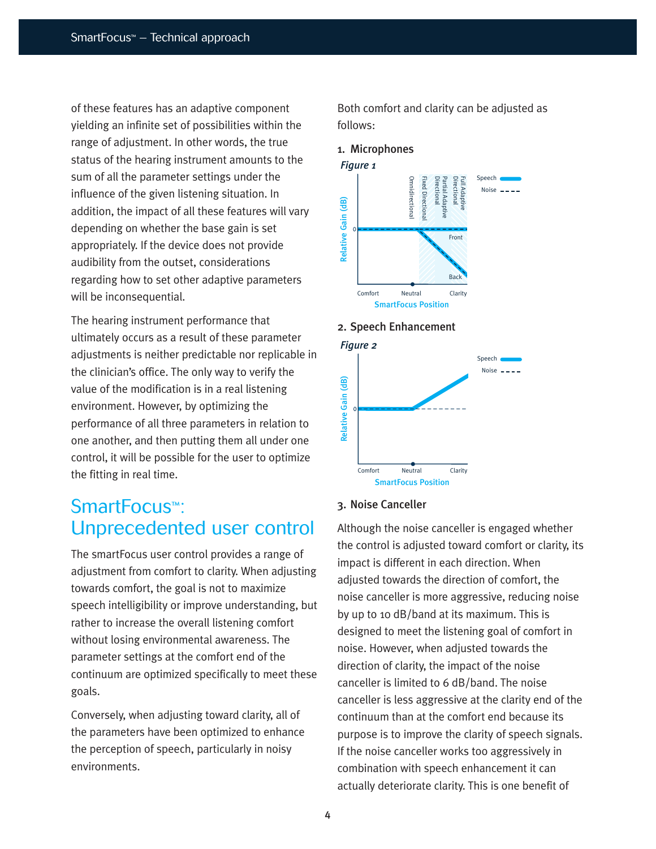of these features has an adaptive component yielding an infinite set of possibilities within the range of adjustment. In other words, the true status of the hearing instrument amounts to the sum of all the parameter settings under the influence of the given listening situation. In addition, the impact of all these features will vary depending on whether the base gain is set appropriately. If the device does not provide audibility from the outset, considerations regarding how to set other adaptive parameters will be inconsequential.

The hearing instrument performance that ultimately occurs as a result of these parameter adjustments is neither predictable nor replicable in the clinician's office. The only way to verify the value of the modification is in a real listening environment. However, by optimizing the performance of all three parameters in relation to one another, and then putting them all under one control, it will be possible for the user to optimize the fitting in real time.

# SmartFocus™: Unprecedented user control

The smartFocus user control provides a range of adjustment from comfort to clarity. When adjusting towards comfort, the goal is not to maximize speech intelligibility or improve understanding, but rather to increase the overall listening comfort without losing environmental awareness. The parameter settings at the comfort end of the continuum are optimized specifically to meet these goals.

Conversely, when adjusting toward clarity, all of the parameters have been optimized to enhance the perception of speech, particularly in noisy environments.

Both comfort and clarity can be adjusted as follows:

#### 1. Microphones



#### 2. Speech Enhancement



#### 3. Noise Canceller

Although the noise canceller is engaged whether the control is adjusted toward comfort or clarity, its impact is different in each direction. When adjusted towards the direction of comfort, the noise canceller is more aggressive, reducing noise by up to 10 dB/band at its maximum. This is designed to meet the listening goal of comfort in noise. However, when adjusted towards the direction of clarity, the impact of the noise canceller is limited to 6 dB/band. The noise canceller is less aggressive at the clarity end of the continuum than at the comfort end because its purpose is to improve the clarity of speech signals. If the noise canceller works too aggressively in combination with speech enhancement it can actually deteriorate clarity. This is one benefit of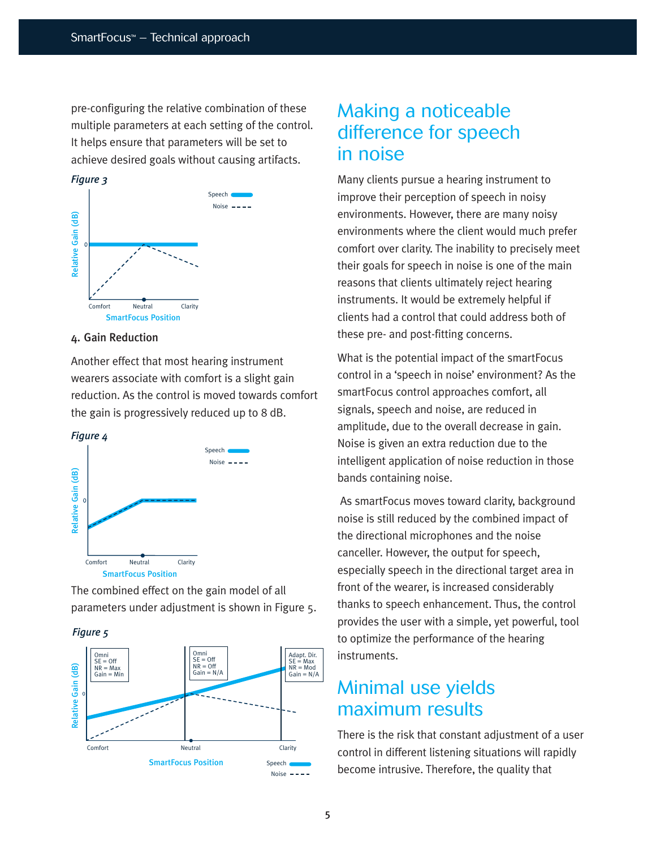pre-configuring the relative combination of these multiple parameters at each setting of the control. It helps ensure that parameters will be set to achieve desired goals without causing artifacts.



#### 4. Gain Reduction

Another effect that most hearing instrument wearers associate with comfort is a slight gain reduction. As the control is moved towards comfort the gain is progressively reduced up to 8 dB.





The combined effect on the gain model of all parameters under adjustment is shown in Figure 5.



#### *Figure 5*

### Making a noticeable difference for speech in noise

Many clients pursue a hearing instrument to improve their perception of speech in noisy environments. However, there are many noisy environments where the client would much prefer comfort over clarity. The inability to precisely meet their goals for speech in noise is one of the main reasons that clients ultimately reject hearing instruments. It would be extremely helpful if clients had a control that could address both of these pre- and post-fitting concerns.

What is the potential impact of the smartFocus control in a 'speech in noise' environment? As the smartFocus control approaches comfort, all signals, speech and noise, are reduced in amplitude, due to the overall decrease in gain. Noise is given an extra reduction due to the intelligent application of noise reduction in those bands containing noise.

As smartFocus moves toward clarity, background noise is still reduced by the combined impact of the directional microphones and the noise canceller. However, the output for speech, especially speech in the directional target area in front of the wearer, is increased considerably thanks to speech enhancement. Thus, the control provides the user with a simple, yet powerful, tool to optimize the performance of the hearing instruments.

### Minimal use yields maximum results

There is the risk that constant adjustment of a user control in different listening situations will rapidly become intrusive. Therefore, the quality that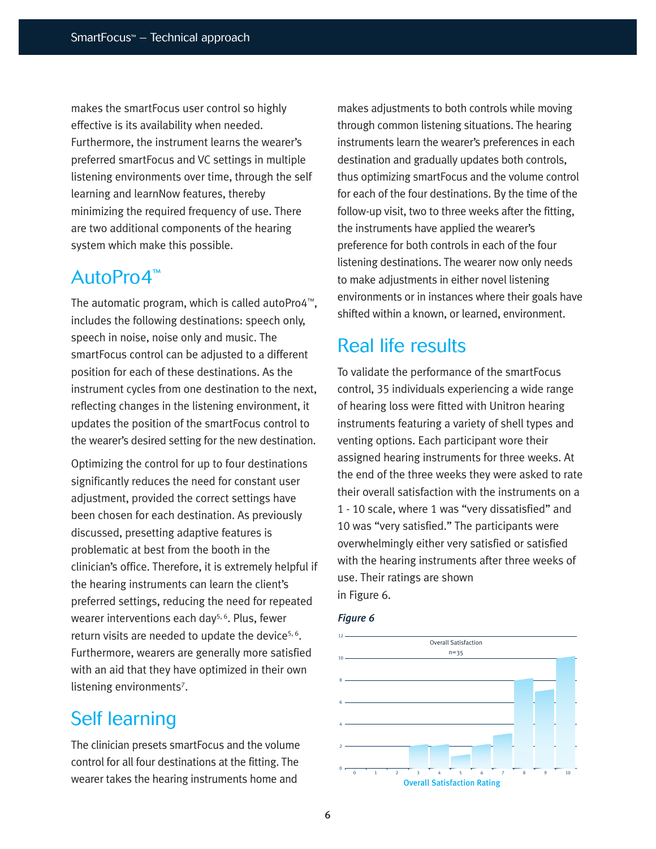makes the smartFocus user control so highly effective is its availability when needed. Furthermore, the instrument learns the wearer's preferred smartFocus and VC settings in multiple listening environments over time, through the self learning and learnNow features, thereby minimizing the required frequency of use. There are two additional components of the hearing system which make this possible.

#### AutoPro4™

The automatic program, which is called autoPro4™, includes the following destinations: speech only, speech in noise, noise only and music. The smartFocus control can be adjusted to a different position for each of these destinations. As the instrument cycles from one destination to the next, reflecting changes in the listening environment, it updates the position of the smartFocus control to the wearer's desired setting for the new destination.

Optimizing the control for up to four destinations significantly reduces the need for constant user adjustment, provided the correct settings have been chosen for each destination. As previously discussed, presetting adaptive features is problematic at best from the booth in the clinician's office. Therefore, it is extremely helpful if the hearing instruments can learn the client's preferred settings, reducing the need for repeated wearer interventions each day<sup>5, 6</sup>. Plus, fewer return visits are needed to update the device<sup>5, 6</sup>. Furthermore, wearers are generally more satisfied with an aid that they have optimized in their own listening environments<sup>7</sup>.

# Self learning

The clinician presets smartFocus and the volume control for all four destinations at the fitting. The wearer takes the hearing instruments home and

makes adjustments to both controls while moving through common listening situations. The hearing instruments learn the wearer's preferences in each destination and gradually updates both controls, thus optimizing smartFocus and the volume control for each of the four destinations. By the time of the follow-up visit, two to three weeks after the fitting, the instruments have applied the wearer's preference for both controls in each of the four listening destinations. The wearer now only needs to make adjustments in either novel listening environments or in instances where their goals have shifted within a known, or learned, environment.

### Real life results

To validate the performance of the smartFocus control, 35 individuals experiencing a wide range of hearing loss were fitted with Unitron hearing instruments featuring a variety of shell types and venting options. Each participant wore their assigned hearing instruments for three weeks. At the end of the three weeks they were asked to rate their overall satisfaction with the instruments on a 1 - 10 scale, where 1 was "very dissatisfied" and 10 was "very satisfied." The participants were overwhelmingly either very satisfied or satisfied with the hearing instruments after three weeks of use. Their ratings are shown in Figure 6.

#### *Figure 6*

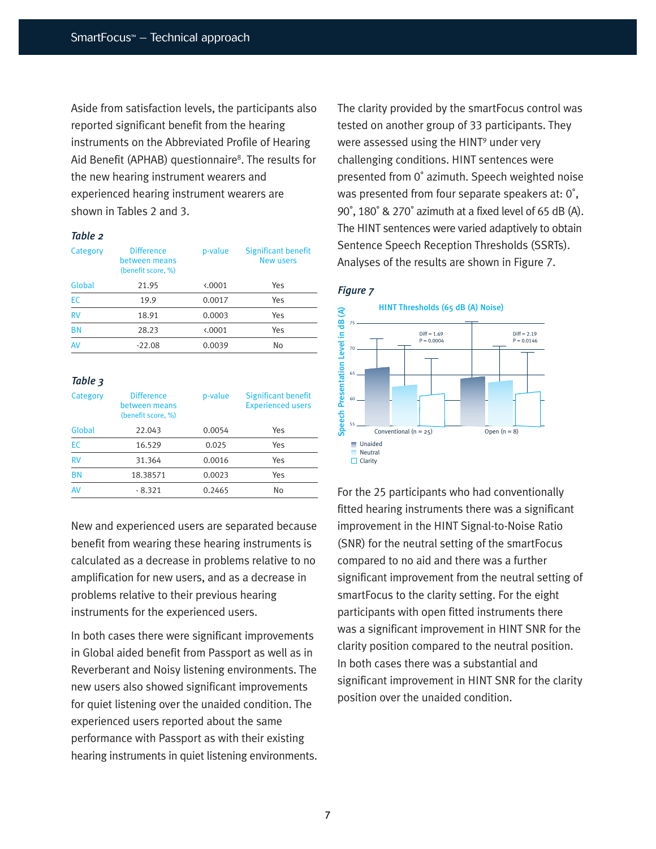Aside from satisfaction levels, the participants also reported significant benefit from the hearing instruments on the Abbreviated Profile of Hearing Aid Benefit (APHAB) questionnaire<sup>8</sup>. The results for the new hearing instrument wearers and experienced hearing instrument wearers are shown in Tables 2 and 3.

#### *Table 2*

| Category  | <b>Difference</b><br>between means<br>(benefit score, %) | p-value | <b>Significant benefit</b><br><b>New users</b> |
|-----------|----------------------------------------------------------|---------|------------------------------------------------|
| Global    | 21.95                                                    | 0.0001  | Yes                                            |
| EC        | 19.9                                                     | 0.0017  | Yes                                            |
| <b>RV</b> | 18.91                                                    | 0.0003  | Yes                                            |
| <b>BN</b> | 28.23                                                    | 0.0001  | Yes                                            |
| AV        | $-22.08$                                                 | 0.0039  | No                                             |

#### *Table 3*

| Category  | <b>Difference</b><br>between means<br>(benefit score, %) | p-value | Significant benefit<br><b>Experienced users</b> |
|-----------|----------------------------------------------------------|---------|-------------------------------------------------|
| Global    | 22.043                                                   | 0.0054  | Yes                                             |
| EC        | 16.529                                                   | 0.025   | Yes                                             |
| <b>RV</b> | 31.364                                                   | 0.0016  | Yes                                             |
| <b>BN</b> | 18.38571                                                 | 0.0023  | Yes                                             |
| AV        | $-8.321$                                                 | 0.2465  | No                                              |

New and experienced users are separated because benefit from wearing these hearing instruments is calculated as a decrease in problems relative to no amplification for new users, and as a decrease in problems relative to their previous hearing instruments for the experienced users.

In both cases there were significant improvements in Global aided benefit from Passport as well as in Reverberant and Noisy listening environments. The new users also showed significant improvements for quiet listening over the unaided condition. The experienced users reported about the same performance with Passport as with their existing hearing instruments in quiet listening environments. The clarity provided by the smartFocus control was tested on another group of 33 participants. They were assessed using the HINT<sup>9</sup> under very challenging conditions. HINT sentences were presented from 0˚ azimuth. Speech weighted noise was presented from four separate speakers at: 0˚, 90˚, 180˚ & 270˚ azimuth at a fixed level of 65 dB (A). The HINT sentences were varied adaptively to obtain Sentence Speech Reception Thresholds (SSRTs). Analyses of the results are shown in Figure 7.

#### *Figure 7*



For the 25 participants who had conventionally fitted hearing instruments there was a significant improvement in the HINT Signal-to-Noise Ratio (SNR) for the neutral setting of the smartFocus compared to no aid and there was a further significant improvement from the neutral setting of smartFocus to the clarity setting. For the eight participants with open fitted instruments there was a significant improvement in HINT SNR for the clarity position compared to the neutral position. In both cases there was a substantial and significant improvement in HINT SNR for the clarity position over the unaided condition.